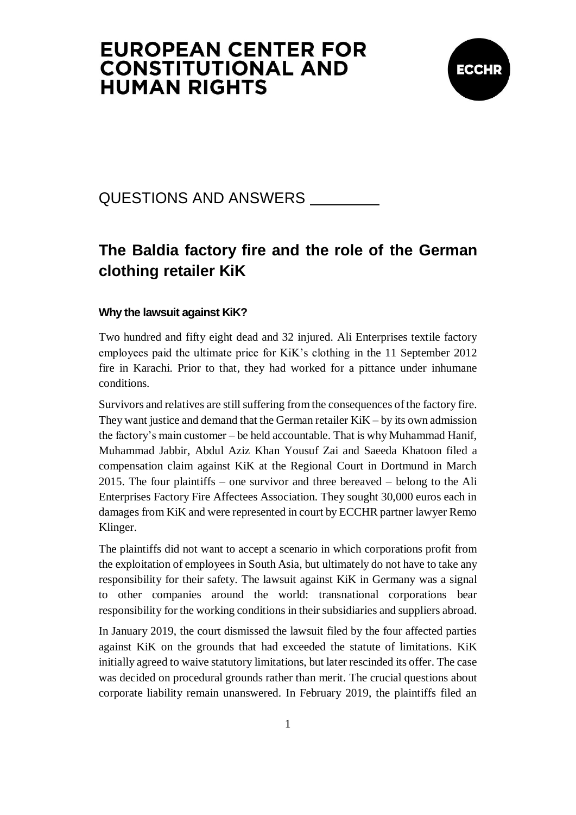

QUESTIONS AND ANSWERS

### **The Baldia factory fire and the role of the German clothing retailer KiK**

### **Why the lawsuit against KiK?**

Two hundred and fifty eight dead and 32 injured. Ali Enterprises textile factory employees paid the ultimate price for KiK's clothing in the 11 September 2012 fire in Karachi. Prior to that, they had worked for a pittance under inhumane conditions.

Survivors and relatives are still suffering from the consequences of the factory fire. They want justice and demand that the German retailer KiK – by its own admission the factory's main customer – be held accountable. That is why Muhammad Hanif, Muhammad Jabbir, Abdul Aziz Khan Yousuf Zai and Saeeda Khatoon filed a compensation claim against KiK at the Regional Court in Dortmund in March 2015. The four plaintiffs – one survivor and three bereaved – belong to the Ali Enterprises Factory Fire Affectees Association. They sought 30,000 euros each in damages from KiK and were represented in court by ECCHR partner lawyer Remo Klinger.

The plaintiffs did not want to accept a scenario in which corporations profit from the exploitation of employees in South Asia, but ultimately do not have to take any responsibility for their safety. The lawsuit against KiK in Germany was a signal to other companies around the world: transnational corporations bear responsibility for the working conditions in their subsidiaries and suppliers abroad.

In January 2019, the court dismissed the lawsuit filed by the four affected parties against KiK on the grounds that had exceeded the statute of limitations. KiK initially agreed to waive statutory limitations, but later rescinded its offer. The case was decided on procedural grounds rather than merit. The crucial questions about corporate liability remain unanswered. In February 2019, the plaintiffs filed an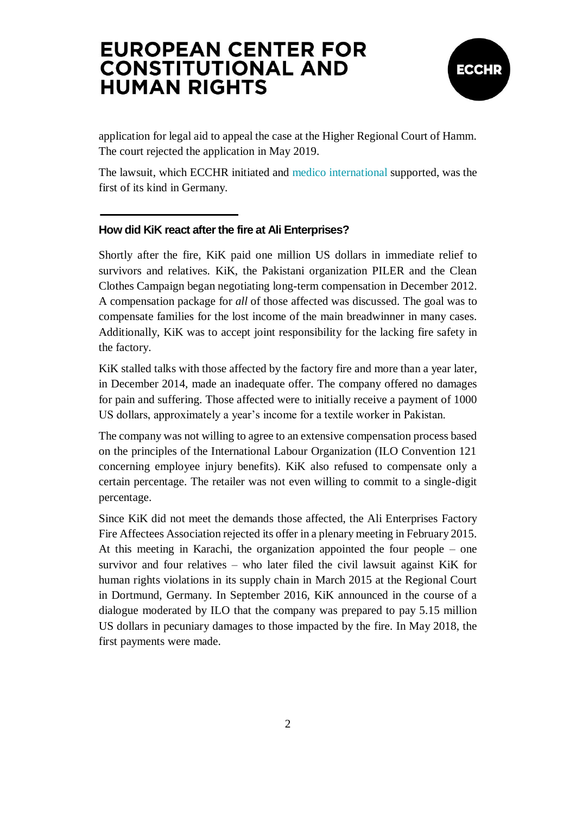

application for legal aid to appeal the case at the Higher Regional Court of Hamm. The court rejected the application in May 2019.

The lawsuit, which [ECCHR](https://www.ecchr.eu/en/) initiated and [medico international](https://www.medico.de/en/) supported, was the first of its kind in Germany.

### **How did KiK react after the fire at Ali Enterprises?**

Shortly after the fire, KiK paid one million US dollars in immediate relief to survivors and relatives. KiK, the Pakistani organization PILER and the Clean Clothes Campaign began negotiating long-term compensation in December 2012. A compensation package for *all* of those affected was discussed. The goal was to compensate families for the lost income of the main breadwinner in many cases. Additionally, KiK was to accept joint responsibility for the lacking fire safety in the factory.

KiK stalled talks with those affected by the factory fire and more than a year later, in December 2014, made an inadequate offer. The company offered no damages for pain and suffering. Those affected were to initially receive a payment of 1000 US dollars, approximately a year's income for a textile worker in Pakistan.

The company was not willing to agree to an extensive compensation process based on the principles of the International Labour Organization (ILO Convention 121 concerning employee injury benefits). KiK also refused to compensate only a certain percentage. The retailer was not even willing to commit to a single-digit percentage.

Since KiK did not meet the demands those affected, the Ali Enterprises Factory Fire Affectees Association rejected its offer in a plenary meeting in February 2015. At this meeting in Karachi, the organization appointed the four people – one survivor and four relatives – who later filed the civil lawsuit against KiK for human rights violations in its supply chain in March 2015 at the Regional Court in Dortmund, Germany. In September 2016, KiK announced in the course of a dialogue moderated by ILO that the company was prepared to pay 5.15 million US dollars in pecuniary damages to those impacted by the fire. In May 2018, the first payments were made.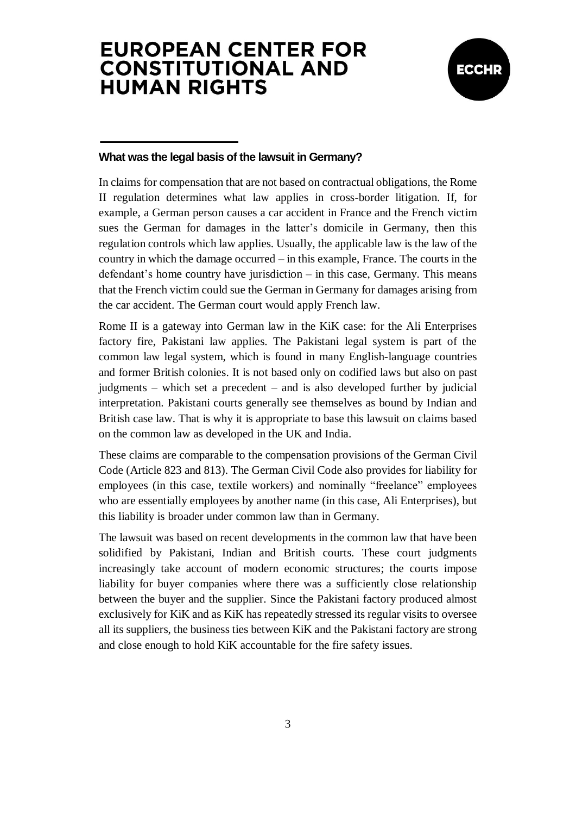

### **What was the legal basis of the lawsuit in Germany?**

In claims for compensation that are not based on contractual obligations, the Rome II regulation determines what law applies in cross-border litigation. If, for example, a German person causes a car accident in France and the French victim sues the German for damages in the latter's domicile in Germany, then this regulation controls which law applies. Usually, the applicable law is the law of the country in which the damage occurred – in this example, France. The courts in the defendant's home country have jurisdiction – in this case, Germany. This means that the French victim could sue the German in Germany for damages arising from the car accident. The German court would apply French law.

Rome II is a gateway into German law in the KiK case: for the Ali Enterprises factory fire, Pakistani law applies. The Pakistani legal system is part of the common law legal system, which is found in many English-language countries and former British colonies. It is not based only on codified laws but also on past judgments – which set a precedent – and is also developed further by judicial interpretation. Pakistani courts generally see themselves as bound by Indian and British case law. That is why it is appropriate to base this lawsuit on claims based on the common law as developed in the UK and India.

These claims are comparable to the compensation provisions of the German Civil Code (Article 823 and 813). The German Civil Code also provides for liability for employees (in this case, textile workers) and nominally "freelance" employees who are essentially employees by another name (in this case, Ali Enterprises), but this liability is broader under common law than in Germany.

The lawsuit was based on recent developments in the common law that have been solidified by Pakistani, Indian and British courts. These court judgments increasingly take account of modern economic structures; the courts impose liability for buyer companies where there was a sufficiently close relationship between the buyer and the supplier. Since the Pakistani factory produced almost exclusively for KiK and as KiK has repeatedly stressed its regular visits to oversee all its suppliers, the business ties between KiK and the Pakistani factory are strong and close enough to hold KiK accountable for the fire safety issues.